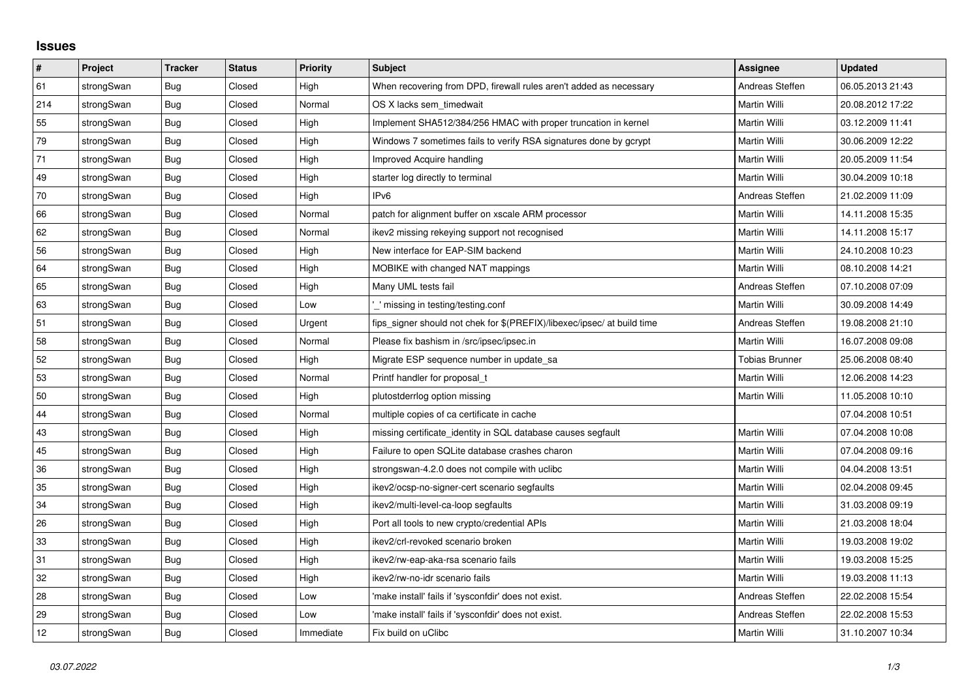## **Issues**

| #   | Project    | <b>Tracker</b> | <b>Status</b> | <b>Priority</b> | <b>Subject</b>                                                          | Assignee              | <b>Updated</b>   |
|-----|------------|----------------|---------------|-----------------|-------------------------------------------------------------------------|-----------------------|------------------|
| 61  | strongSwan | <b>Bug</b>     | Closed        | High            | When recovering from DPD, firewall rules aren't added as necessary      | Andreas Steffen       | 06.05.2013 21:43 |
| 214 | strongSwan | Bug            | Closed        | Normal          | OS X lacks sem timedwait                                                | Martin Willi          | 20.08.2012 17:22 |
| 55  | strongSwan | Bug            | Closed        | High            | Implement SHA512/384/256 HMAC with proper truncation in kernel          | Martin Willi          | 03.12.2009 11:41 |
| 79  | strongSwan | <b>Bug</b>     | Closed        | High            | Windows 7 sometimes fails to verify RSA signatures done by gcrypt       | Martin Willi          | 30.06.2009 12:22 |
| 71  | strongSwan | Bug            | Closed        | High            | Improved Acquire handling                                               | Martin Willi          | 20.05.2009 11:54 |
| 49  | strongSwan | Bug            | Closed        | High            | starter log directly to terminal                                        | Martin Willi          | 30.04.2009 10:18 |
| 70  | strongSwan | Bug            | Closed        | High            | IP <sub>v6</sub>                                                        | Andreas Steffen       | 21.02.2009 11:09 |
| 66  | strongSwan | Bug            | Closed        | Normal          | patch for alignment buffer on xscale ARM processor                      | Martin Willi          | 14.11.2008 15:35 |
| 62  | strongSwan | Bug            | Closed        | Normal          | ikev2 missing rekeying support not recognised                           | Martin Willi          | 14.11.2008 15:17 |
| 56  | strongSwan | <b>Bug</b>     | Closed        | High            | New interface for EAP-SIM backend                                       | Martin Willi          | 24.10.2008 10:23 |
| 64  | strongSwan | Bug            | Closed        | High            | MOBIKE with changed NAT mappings                                        | Martin Willi          | 08.10.2008 14:21 |
| 65  | strongSwan | Bug            | Closed        | High            | Many UML tests fail                                                     | Andreas Steffen       | 07.10.2008 07:09 |
| 63  | strongSwan | <b>Bug</b>     | Closed        | Low             | _' missing in testing/testing.conf                                      | <b>Martin Willi</b>   | 30.09.2008 14:49 |
| 51  | strongSwan | Bug            | Closed        | Urgent          | fips_signer should not chek for \$(PREFIX)/libexec/ipsec/ at build time | Andreas Steffen       | 19.08.2008 21:10 |
| 58  | strongSwan | Bug            | Closed        | Normal          | Please fix bashism in /src/ipsec/ipsec.in                               | Martin Willi          | 16.07.2008 09:08 |
| 52  | strongSwan | Bug            | Closed        | High            | Migrate ESP sequence number in update_sa                                | <b>Tobias Brunner</b> | 25.06.2008 08:40 |
| 53  | strongSwan | Bug            | Closed        | Normal          | Printf handler for proposal_t                                           | Martin Willi          | 12.06.2008 14:23 |
| 50  | strongSwan | Bug            | Closed        | High            | plutostderrlog option missing                                           | Martin Willi          | 11.05.2008 10:10 |
| 44  | strongSwan | <b>Bug</b>     | Closed        | Normal          | multiple copies of ca certificate in cache                              |                       | 07.04.2008 10:51 |
| 43  | strongSwan | Bug            | Closed        | High            | missing certificate identity in SQL database causes segfault            | Martin Willi          | 07.04.2008 10:08 |
| 45  | strongSwan | Bug            | Closed        | High            | Failure to open SQLite database crashes charon                          | Martin Willi          | 07.04.2008 09:16 |
| 36  | strongSwan | Bug            | Closed        | High            | strongswan-4.2.0 does not compile with uclibe                           | Martin Willi          | 04.04.2008 13:51 |
| 35  | strongSwan | Bug            | Closed        | High            | ikev2/ocsp-no-signer-cert scenario segfaults                            | Martin Willi          | 02.04.2008 09:45 |
| 34  | strongSwan | <b>Bug</b>     | Closed        | High            | ikev2/multi-level-ca-loop segfaults                                     | Martin Willi          | 31.03.2008 09:19 |
| 26  | strongSwan | <b>Bug</b>     | Closed        | High            | Port all tools to new crypto/credential APIs                            | Martin Willi          | 21.03.2008 18:04 |
| 33  | strongSwan | Bug            | Closed        | High            | ikev2/crl-revoked scenario broken                                       | Martin Willi          | 19.03.2008 19:02 |
| 31  | strongSwan | Bug            | Closed        | High            | ikev2/rw-eap-aka-rsa scenario fails                                     | Martin Willi          | 19.03.2008 15:25 |
| 32  | strongSwan | <b>Bug</b>     | Closed        | High            | ikev2/rw-no-idr scenario fails                                          | Martin Willi          | 19.03.2008 11:13 |
| 28  | strongSwan | Bug            | Closed        | Low             | 'make install' fails if 'sysconfdir' does not exist.                    | Andreas Steffen       | 22.02.2008 15:54 |
| 29  | strongSwan | Bug            | Closed        | Low             | 'make install' fails if 'sysconfdir' does not exist.                    | Andreas Steffen       | 22.02.2008 15:53 |
| 12  | strongSwan | <b>Bug</b>     | Closed        | Immediate       | Fix build on uClibc                                                     | <b>Martin Willi</b>   | 31.10.2007 10:34 |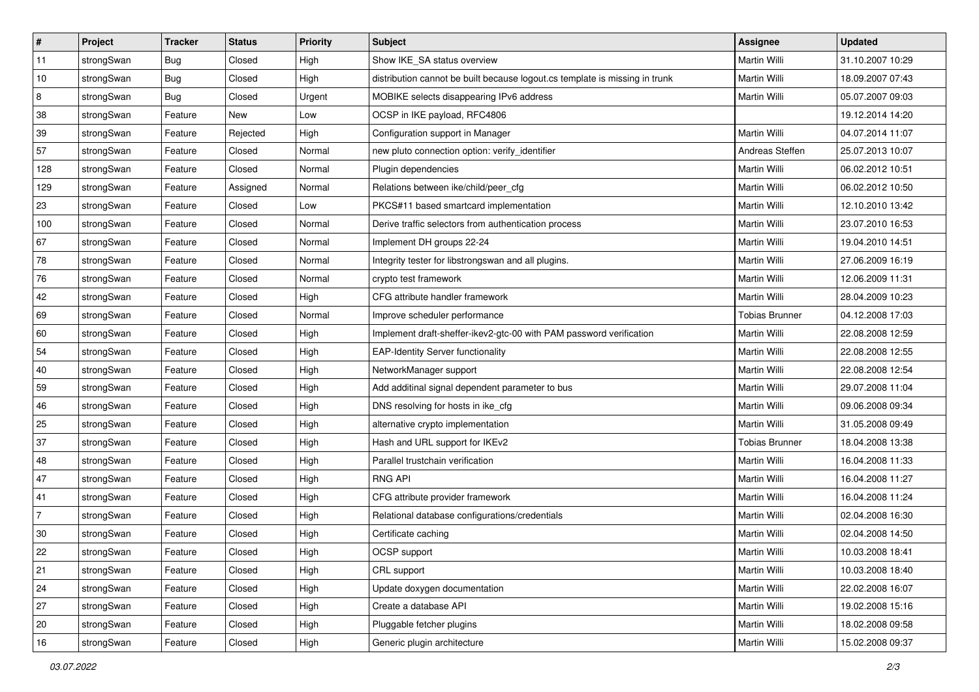| $\sharp$       | Project    | <b>Tracker</b> | <b>Status</b> | Priority | Subject                                                                     | Assignee              | <b>Updated</b>   |
|----------------|------------|----------------|---------------|----------|-----------------------------------------------------------------------------|-----------------------|------------------|
| 11             | strongSwan | <b>Bug</b>     | Closed        | High     | Show IKE_SA status overview                                                 | Martin Willi          | 31.10.2007 10:29 |
| 10             | strongSwan | Bug            | Closed        | High     | distribution cannot be built because logout.cs template is missing in trunk | <b>Martin Willi</b>   | 18.09.2007 07:43 |
| 8              | strongSwan | <b>Bug</b>     | Closed        | Urgent   | MOBIKE selects disappearing IPv6 address                                    | Martin Willi          | 05.07.2007 09:03 |
| 38             | strongSwan | Feature        | New           | Low      | OCSP in IKE payload, RFC4806                                                |                       | 19.12.2014 14:20 |
| 39             | strongSwan | Feature        | Rejected      | High     | Configuration support in Manager                                            | Martin Willi          | 04.07.2014 11:07 |
| 57             | strongSwan | Feature        | Closed        | Normal   | new pluto connection option: verify_identifier                              | Andreas Steffen       | 25.07.2013 10:07 |
| 128            | strongSwan | Feature        | Closed        | Normal   | Plugin dependencies                                                         | <b>Martin Willi</b>   | 06.02.2012 10:51 |
| 129            | strongSwan | Feature        | Assigned      | Normal   | Relations between ike/child/peer cfg                                        | Martin Willi          | 06.02.2012 10:50 |
| 23             | strongSwan | Feature        | Closed        | Low      | PKCS#11 based smartcard implementation                                      | Martin Willi          | 12.10.2010 13:42 |
| 100            | strongSwan | Feature        | Closed        | Normal   | Derive traffic selectors from authentication process                        | Martin Willi          | 23.07.2010 16:53 |
| 67             | strongSwan | Feature        | Closed        | Normal   | Implement DH groups 22-24                                                   | Martin Willi          | 19.04.2010 14:51 |
| 78             | strongSwan | Feature        | Closed        | Normal   | Integrity tester for libstrongswan and all plugins.                         | Martin Willi          | 27.06.2009 16:19 |
| 76             | strongSwan | Feature        | Closed        | Normal   | crypto test framework                                                       | Martin Willi          | 12.06.2009 11:31 |
| 42             | strongSwan | Feature        | Closed        | High     | CFG attribute handler framework                                             | Martin Willi          | 28.04.2009 10:23 |
| 69             | strongSwan | Feature        | Closed        | Normal   | Improve scheduler performance                                               | <b>Tobias Brunner</b> | 04.12.2008 17:03 |
| 60             | strongSwan | Feature        | Closed        | High     | Implement draft-sheffer-ikev2-gtc-00 with PAM password verification         | Martin Willi          | 22.08.2008 12:59 |
| 54             | strongSwan | Feature        | Closed        | High     | <b>EAP-Identity Server functionality</b>                                    | Martin Willi          | 22.08.2008 12:55 |
| 40             | strongSwan | Feature        | Closed        | High     | NetworkManager support                                                      | Martin Willi          | 22.08.2008 12:54 |
| 59             | strongSwan | Feature        | Closed        | High     | Add additinal signal dependent parameter to bus                             | Martin Willi          | 29.07.2008 11:04 |
| 46             | strongSwan | Feature        | Closed        | High     | DNS resolving for hosts in ike_cfg                                          | <b>Martin Willi</b>   | 09.06.2008 09:34 |
| 25             | strongSwan | Feature        | Closed        | High     | alternative crypto implementation                                           | Martin Willi          | 31.05.2008 09:49 |
| 37             | strongSwan | Feature        | Closed        | High     | Hash and URL support for IKEv2                                              | <b>Tobias Brunner</b> | 18.04.2008 13:38 |
| 48             | strongSwan | Feature        | Closed        | High     | Parallel trustchain verification                                            | Martin Willi          | 16.04.2008 11:33 |
| 47             | strongSwan | Feature        | Closed        | High     | <b>RNG API</b>                                                              | Martin Willi          | 16.04.2008 11:27 |
| 41             | strongSwan | Feature        | Closed        | High     | CFG attribute provider framework                                            | Martin Willi          | 16.04.2008 11:24 |
| $\overline{7}$ | strongSwan | Feature        | Closed        | High     | Relational database configurations/credentials                              | Martin Willi          | 02.04.2008 16:30 |
| 30             | strongSwan | Feature        | Closed        | High     | Certificate caching                                                         | Martin Willi          | 02.04.2008 14:50 |
| 22             | strongSwan | Feature        | Closed        | High     | OCSP support                                                                | Martin Willi          | 10.03.2008 18:41 |
| 21             | strongSwan | Feature        | Closed        | High     | CRL support                                                                 | Martin Willi          | 10.03.2008 18:40 |
| 24             | strongSwan | Feature        | Closed        | High     | Update doxygen documentation                                                | Martin Willi          | 22.02.2008 16:07 |
| 27             | strongSwan | Feature        | Closed        | High     | Create a database API                                                       | Martin Willi          | 19.02.2008 15:16 |
| 20             | strongSwan | Feature        | Closed        | High     | Pluggable fetcher plugins                                                   | Martin Willi          | 18.02.2008 09:58 |
| 16             | strongSwan | Feature        | Closed        | High     | Generic plugin architecture                                                 | Martin Willi          | 15.02.2008 09:37 |